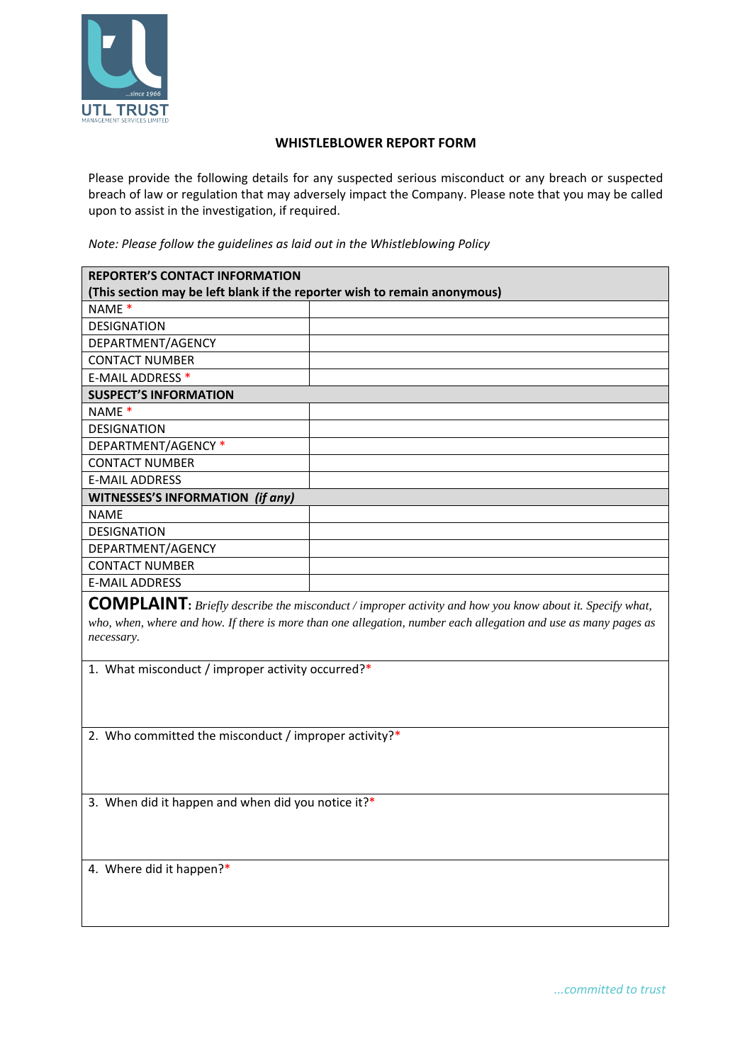

## **WHISTLEBLOWER REPORT FORM**

Please provide the following details for any suspected serious misconduct or any breach or suspected breach of law or regulation that may adversely impact the Company. Please note that you may be called upon to assist in the investigation, if required.

*Note: Please follow the guidelines as laid out in the Whistleblowing Policy* 

| <b>REPORTER'S CONTACT INFORMATION</b>                                     |  |  |
|---------------------------------------------------------------------------|--|--|
| (This section may be left blank if the reporter wish to remain anonymous) |  |  |
| NAME <sup>*</sup>                                                         |  |  |
| <b>DESIGNATION</b>                                                        |  |  |
| DEPARTMENT/AGENCY                                                         |  |  |
| <b>CONTACT NUMBER</b>                                                     |  |  |
| E-MAIL ADDRESS *                                                          |  |  |
| <b>SUSPECT'S INFORMATION</b>                                              |  |  |
| NAME <sup>*</sup>                                                         |  |  |
| <b>DESIGNATION</b>                                                        |  |  |
| DEPARTMENT/AGENCY *                                                       |  |  |
| <b>CONTACT NUMBER</b>                                                     |  |  |
| <b>E-MAIL ADDRESS</b>                                                     |  |  |
| <b>WITNESSES'S INFORMATION (if any)</b>                                   |  |  |
| <b>NAME</b>                                                               |  |  |
| <b>DESIGNATION</b>                                                        |  |  |
| DEPARTMENT/AGENCY                                                         |  |  |
| <b>CONTACT NUMBER</b>                                                     |  |  |
| <b>E-MAIL ADDRESS</b>                                                     |  |  |

**COMPLAINT:** *Briefly describe the misconduct / improper activity and how you know about it. Specify what, who, when, where and how. If there is more than one allegation, number each allegation and use as many pages as necessary.* 

1. What misconduct / improper activity occurred?\*

2. Who committed the misconduct / improper activity?\*

3. When did it happen and when did you notice it?\*

4. Where did it happen?\*